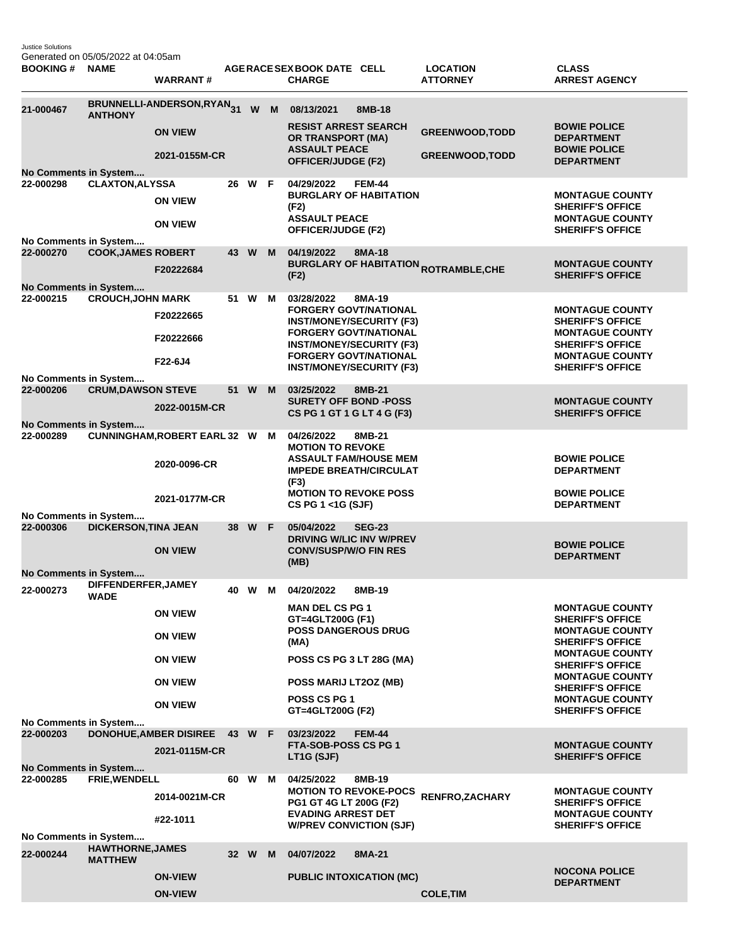Justice Solutions Generated on 05/05/2022 at 04:05am

| <b>BOOKING#</b>                    | <b>NAME</b>                               | <b>WARRANT#</b>                     |    |          |    | AGERACE SEX BOOK DATE CELL<br><b>CHARGE</b>                                                                                        |               | <b>LOCATION</b><br><b>ATTORNEY</b>                     | <b>CLASS</b><br><b>ARREST AGENCY</b>                                                                   |
|------------------------------------|-------------------------------------------|-------------------------------------|----|----------|----|------------------------------------------------------------------------------------------------------------------------------------|---------------|--------------------------------------------------------|--------------------------------------------------------------------------------------------------------|
| 21-000467                          | <b>ANTHONY</b>                            | BRUNNELLI-ANDERSON,RYAN31           |    | W        | M  | 08/13/2021                                                                                                                         | 8MB-18        |                                                        |                                                                                                        |
|                                    |                                           | <b>ON VIEW</b>                      |    |          |    | <b>RESIST ARREST SEARCH</b><br>OR TRANSPORT (MA)<br><b>ASSAULT PEACE</b>                                                           |               | <b>GREENWOOD, TODD</b>                                 | <b>BOWIE POLICE</b><br><b>DEPARTMENT</b><br><b>BOWIE POLICE</b>                                        |
|                                    |                                           | 2021-0155M-CR                       |    |          |    | <b>OFFICER/JUDGE (F2)</b>                                                                                                          |               | <b>GREENWOOD, TODD</b>                                 | <b>DEPARTMENT</b>                                                                                      |
| No Comments in System<br>22-000298 | <b>CLAXTON, ALYSSA</b>                    |                                     |    | 26 W     | -F | 04/29/2022                                                                                                                         | <b>FEM-44</b> |                                                        |                                                                                                        |
|                                    |                                           | <b>ON VIEW</b><br><b>ON VIEW</b>    |    |          |    | <b>BURGLARY OF HABITATION</b><br>(F2)<br><b>ASSAULT PEACE</b>                                                                      |               |                                                        | <b>MONTAGUE COUNTY</b><br><b>SHERIFF'S OFFICE</b><br><b>MONTAGUE COUNTY</b>                            |
| No Comments in System              |                                           |                                     |    |          |    | <b>OFFICER/JUDGE (F2)</b>                                                                                                          |               |                                                        | <b>SHERIFF'S OFFICE</b>                                                                                |
| 22-000270                          | <b>COOK, JAMES ROBERT</b>                 |                                     |    | 43 W     | M  | 04/19/2022                                                                                                                         | 8MA-18        |                                                        |                                                                                                        |
| No Comments in System              |                                           | F20222684                           |    |          |    | (F2)                                                                                                                               |               | <b>BURGLARY OF HABITATION <sub>ROTRAMBLE,CHE</sub></b> | <b>MONTAGUE COUNTY</b><br><b>SHERIFF'S OFFICE</b>                                                      |
| 22-000215                          | <b>CROUCH, JOHN MARK</b>                  |                                     |    | 51 W     | М  | 03/28/2022                                                                                                                         | 8MA-19        |                                                        |                                                                                                        |
|                                    |                                           | F20222665<br>F20222666              |    |          |    | <b>FORGERY GOVT/NATIONAL</b><br><b>INST/MONEY/SECURITY (F3)</b><br><b>FORGERY GOVT/NATIONAL</b><br><b>INST/MONEY/SECURITY (F3)</b> |               |                                                        | <b>MONTAGUE COUNTY</b><br><b>SHERIFF'S OFFICE</b><br><b>MONTAGUE COUNTY</b><br><b>SHERIFF'S OFFICE</b> |
|                                    |                                           | F22-6J4                             |    |          |    | <b>FORGERY GOVT/NATIONAL</b>                                                                                                       |               |                                                        | <b>MONTAGUE COUNTY</b>                                                                                 |
| No Comments in System              |                                           |                                     |    |          |    | <b>INST/MONEY/SECURITY (F3)</b>                                                                                                    |               |                                                        | <b>SHERIFF'S OFFICE</b>                                                                                |
| 22-000206                          | <b>CRUM, DAWSON STEVE</b>                 |                                     |    | 51 W     | M  | 03/25/2022                                                                                                                         | 8MB-21        |                                                        |                                                                                                        |
| No Comments in System              |                                           | 2022-0015M-CR                       |    |          |    | <b>SURETY OFF BOND -POSS</b><br>CS PG 1 GT 1 G LT 4 G (F3)                                                                         |               |                                                        | <b>MONTAGUE COUNTY</b><br><b>SHERIFF'S OFFICE</b>                                                      |
| 22-000289                          |                                           | <b>CUNNINGHAM, ROBERT EARL 32 W</b> |    |          | М  | 04/26/2022                                                                                                                         | 8MB-21        |                                                        |                                                                                                        |
|                                    |                                           | 2020-0096-CR                        |    |          |    | <b>MOTION TO REVOKE</b><br><b>ASSAULT FAM/HOUSE MEM</b><br><b>IMPEDE BREATH/CIRCULAT</b><br>(F3)                                   |               |                                                        | <b>BOWIE POLICE</b><br><b>DEPARTMENT</b>                                                               |
|                                    |                                           | 2021-0177M-CR                       |    |          |    | <b>MOTION TO REVOKE POSS</b><br>CS PG 1 <1G (SJF)                                                                                  |               |                                                        | <b>BOWIE POLICE</b><br><b>DEPARTMENT</b>                                                               |
| No Comments in System<br>22-000306 | <b>DICKERSON, TINA JEAN</b>               |                                     | 38 | <b>W</b> | -F | 05/04/2022                                                                                                                         | <b>SEG-23</b> |                                                        |                                                                                                        |
|                                    |                                           | <b>ON VIEW</b>                      |    |          |    | <b>DRIVING W/LIC INV W/PREV</b><br><b>CONV/SUSP/W/O FIN RES</b><br>(MB)                                                            |               |                                                        | <b>BOWIE POLICE</b><br><b>DEPARTMENT</b>                                                               |
| <b>No Comments in System</b>       |                                           |                                     |    |          |    |                                                                                                                                    |               |                                                        |                                                                                                        |
| 22-000273                          | DIFFENDERFER, JAMEY<br><b>WADE</b>        |                                     | 40 | w        | м  | 04/20/2022<br><b>MAN DEL CS PG 1</b>                                                                                               | 8MB-19        |                                                        | <b>MONTAGUE COUNTY</b>                                                                                 |
|                                    |                                           | <b>ON VIEW</b>                      |    |          |    | GT=4GLT200G (F1)<br><b>POSS DANGEROUS DRUG</b>                                                                                     |               |                                                        | <b>SHERIFF'S OFFICE</b><br><b>MONTAGUE COUNTY</b>                                                      |
|                                    |                                           | <b>ON VIEW</b>                      |    |          |    | (MA)                                                                                                                               |               |                                                        | <b>SHERIFF'S OFFICE</b>                                                                                |
|                                    |                                           | <b>ON VIEW</b>                      |    |          |    | POSS CS PG 3 LT 28G (MA)                                                                                                           |               |                                                        | <b>MONTAGUE COUNTY</b><br><b>SHERIFF'S OFFICE</b>                                                      |
|                                    |                                           | <b>ON VIEW</b>                      |    |          |    | POSS MARIJ LT2OZ (MB)                                                                                                              |               |                                                        | <b>MONTAGUE COUNTY</b><br><b>SHERIFF'S OFFICE</b>                                                      |
|                                    |                                           | <b>ON VIEW</b>                      |    |          |    | <b>POSS CS PG 1</b><br>GT=4GLT200G (F2)                                                                                            |               |                                                        | <b>MONTAGUE COUNTY</b><br><b>SHERIFF'S OFFICE</b>                                                      |
| No Comments in System<br>22-000203 |                                           | <b>DONOHUE, AMBER DISIREE</b>       |    | 43 W F   |    | 03/23/2022                                                                                                                         | <b>FEM-44</b> |                                                        |                                                                                                        |
| No Comments in System              |                                           | 2021-0115M-CR                       |    |          |    | <b>FTA-SOB-POSS CS PG 1</b><br>LT1G (SJF)                                                                                          |               |                                                        | <b>MONTAGUE COUNTY</b><br><b>SHERIFF'S OFFICE</b>                                                      |
| 22-000285                          | <b>FRIE, WENDELL</b>                      |                                     |    | 60 W     | M  | 04/25/2022                                                                                                                         | 8MB-19        |                                                        |                                                                                                        |
|                                    |                                           | 2014-0021M-CR<br>#22-1011           |    |          |    | <b>MOTION TO REVOKE-POCS</b><br>PG1 GT 4G LT 200G (F2)<br><b>EVADING ARREST DET</b>                                                |               | <b>RENFRO, ZACHARY</b>                                 | <b>MONTAGUE COUNTY</b><br><b>SHERIFF'S OFFICE</b><br><b>MONTAGUE COUNTY</b>                            |
| No Comments in System              |                                           |                                     |    |          |    | <b>W/PREV CONVICTION (SJF)</b>                                                                                                     |               |                                                        | <b>SHERIFF'S OFFICE</b>                                                                                |
| 22-000244                          | <b>HAWTHORNE, JAMES</b><br><b>MATTHEW</b> |                                     |    | 32 W     | M  | 04/07/2022                                                                                                                         | 8MA-21        |                                                        |                                                                                                        |
|                                    |                                           | <b>ON-VIEW</b>                      |    |          |    | <b>PUBLIC INTOXICATION (MC)</b>                                                                                                    |               |                                                        | <b>NOCONA POLICE</b><br><b>DEPARTMENT</b>                                                              |
|                                    |                                           | <b>ON-VIEW</b>                      |    |          |    |                                                                                                                                    |               | <b>COLE, TIM</b>                                       |                                                                                                        |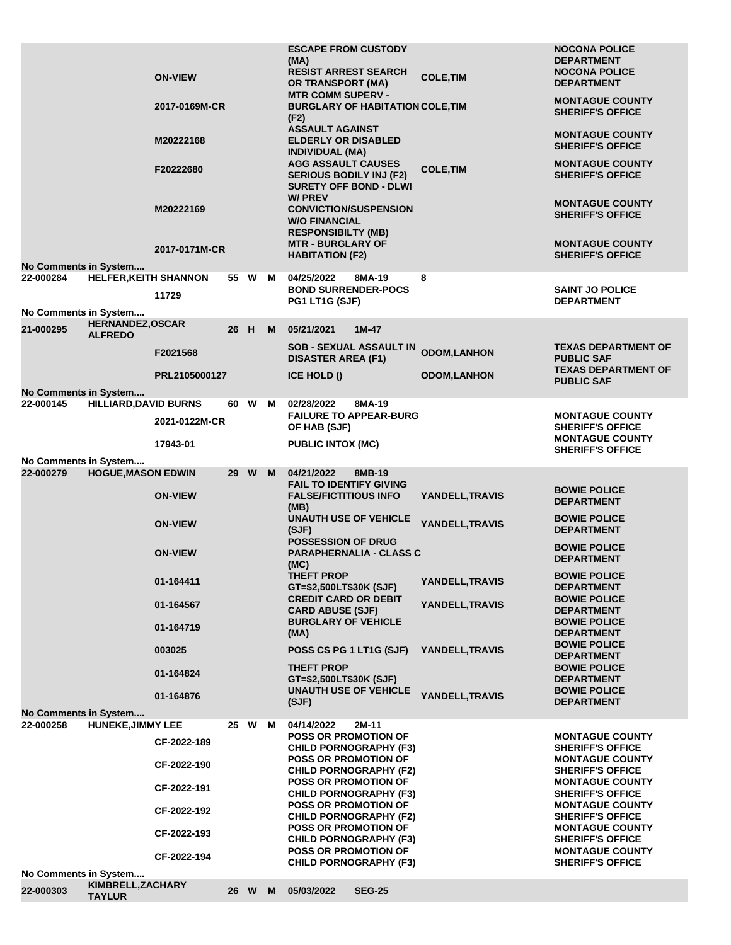| No Comments in System              |                              | <b>ON-VIEW</b><br>2017-0169M-CR<br>M20222168<br>F20222680<br>M20222169<br>2017-0171M-CR |      |        |   | <b>ESCAPE FROM CUSTODY</b><br>(MA)<br><b>RESIST ARREST SEARCH</b><br><b>OR TRANSPORT (MA)</b><br><b>MTR COMM SUPERV -</b><br><b>BURGLARY OF HABITATION COLE, TIM</b><br>(F2)<br><b>ASSAULT AGAINST</b><br><b>ELDERLY OR DISABLED</b><br><b>INDIVIDUAL (MA)</b><br><b>AGG ASSAULT CAUSES</b><br><b>SERIOUS BODILY INJ (F2)</b><br><b>SURETY OFF BOND - DLWI</b><br><b>W/PREV</b><br><b>CONVICTION/SUSPENSION</b><br><b>W/O FINANCIAL</b><br><b>RESPONSIBILTY (MB)</b><br><b>MTR - BURGLARY OF</b><br><b>HABITATION (F2)</b> | <b>COLE, TIM</b><br><b>COLE, TIM</b>     | <b>NOCONA POLICE</b><br><b>DEPARTMENT</b><br><b>NOCONA POLICE</b><br><b>DEPARTMENT</b><br><b>MONTAGUE COUNTY</b><br><b>SHERIFF'S OFFICE</b><br><b>MONTAGUE COUNTY</b><br><b>SHERIFF'S OFFICE</b><br><b>MONTAGUE COUNTY</b><br><b>SHERIFF'S OFFICE</b><br><b>MONTAGUE COUNTY</b><br><b>SHERIFF'S OFFICE</b><br><b>MONTAGUE COUNTY</b><br><b>SHERIFF'S OFFICE</b> |
|------------------------------------|------------------------------|-----------------------------------------------------------------------------------------|------|--------|---|----------------------------------------------------------------------------------------------------------------------------------------------------------------------------------------------------------------------------------------------------------------------------------------------------------------------------------------------------------------------------------------------------------------------------------------------------------------------------------------------------------------------------|------------------------------------------|-----------------------------------------------------------------------------------------------------------------------------------------------------------------------------------------------------------------------------------------------------------------------------------------------------------------------------------------------------------------|
| 22-000284<br>No Comments in System | <b>HELFER, KEITH SHANNON</b> | 11729                                                                                   |      | 55 W M |   | 04/25/2022<br>8MA-19<br><b>BOND SURRENDER-POCS</b><br>PG1 LT1G (SJF)                                                                                                                                                                                                                                                                                                                                                                                                                                                       | 8                                        | <b>SAINT JO POLICE</b><br><b>DEPARTMENT</b>                                                                                                                                                                                                                                                                                                                     |
| 21-000295                          | <b>HERNANDEZ, OSCAR</b>      |                                                                                         | 26   | H      | M | 05/21/2021<br>$1M-47$                                                                                                                                                                                                                                                                                                                                                                                                                                                                                                      |                                          |                                                                                                                                                                                                                                                                                                                                                                 |
|                                    | <b>ALFREDO</b>               | F2021568                                                                                |      |        |   | <b>SOB - SEXUAL ASSAULT IN</b><br><b>DISASTER AREA (F1)</b>                                                                                                                                                                                                                                                                                                                                                                                                                                                                | <b>ODOM,LANHON</b>                       | <b>TEXAS DEPARTMENT OF</b><br><b>PUBLIC SAF</b>                                                                                                                                                                                                                                                                                                                 |
|                                    |                              | PRL2105000127                                                                           |      |        |   | <b>ICE HOLD ()</b>                                                                                                                                                                                                                                                                                                                                                                                                                                                                                                         | <b>ODOM,LANHON</b>                       | <b>TEXAS DEPARTMENT OF</b><br><b>PUBLIC SAF</b>                                                                                                                                                                                                                                                                                                                 |
| No Comments in System              |                              |                                                                                         |      |        |   |                                                                                                                                                                                                                                                                                                                                                                                                                                                                                                                            |                                          |                                                                                                                                                                                                                                                                                                                                                                 |
| 22-000145                          | <b>HILLIARD, DAVID BURNS</b> | 2021-0122M-CR                                                                           | 60   | W      | м | 02/28/2022<br>8MA-19<br><b>FAILURE TO APPEAR-BURG</b><br>OF HAB (SJF)                                                                                                                                                                                                                                                                                                                                                                                                                                                      |                                          | <b>MONTAGUE COUNTY</b><br><b>SHERIFF'S OFFICE</b><br><b>MONTAGUE COUNTY</b>                                                                                                                                                                                                                                                                                     |
|                                    |                              | 17943-01                                                                                |      |        |   | <b>PUBLIC INTOX (MC)</b>                                                                                                                                                                                                                                                                                                                                                                                                                                                                                                   |                                          | <b>SHERIFF'S OFFICE</b>                                                                                                                                                                                                                                                                                                                                         |
| No Comments in System              |                              |                                                                                         |      |        |   |                                                                                                                                                                                                                                                                                                                                                                                                                                                                                                                            |                                          |                                                                                                                                                                                                                                                                                                                                                                 |
| 22-000279                          | <b>HOGUE, MASON EDWIN</b>    | <b>ON-VIEW</b><br><b>ON-VIEW</b>                                                        |      | 29 W   | M | 04/21/2022<br>8MB-19<br><b>FAIL TO IDENTIFY GIVING</b><br><b>FALSE/FICTITIOUS INFO</b><br>(MB)<br><b>UNAUTH USE OF VEHICLE</b>                                                                                                                                                                                                                                                                                                                                                                                             | <b>YANDELL,TRAVIS</b><br>YANDELL, TRAVIS | <b>BOWIE POLICE</b><br><b>DEPARTMENT</b><br><b>BOWIE POLICE</b>                                                                                                                                                                                                                                                                                                 |
|                                    |                              | <b>ON-VIEW</b>                                                                          |      |        |   | (SJF)<br><b>POSSESSION OF DRUG</b><br><b>PARAPHERNALIA - CLASS C</b>                                                                                                                                                                                                                                                                                                                                                                                                                                                       |                                          | <b>DEPARTMENT</b><br><b>BOWIE POLICE</b>                                                                                                                                                                                                                                                                                                                        |
|                                    |                              |                                                                                         |      |        |   | (MC)<br><b>THEFT PROP</b>                                                                                                                                                                                                                                                                                                                                                                                                                                                                                                  |                                          | <b>DEPARTMENT</b><br><b>BOWIE POLICE</b>                                                                                                                                                                                                                                                                                                                        |
|                                    |                              | 01-164411<br>01-164567                                                                  |      |        |   | GT=\$2,500LT\$30K (SJF)<br><b>CREDIT CARD OR DEBIT</b>                                                                                                                                                                                                                                                                                                                                                                                                                                                                     | YANDELL,TRAVIS<br>YANDELL, TRAVIS        | <b>DEPARTMENT</b><br><b>BOWIE POLICE</b>                                                                                                                                                                                                                                                                                                                        |
|                                    |                              | 01-164719                                                                               |      |        |   | <b>CARD ABUSE (SJF)</b><br><b>BURGLARY OF VEHICLE</b><br>(MA)                                                                                                                                                                                                                                                                                                                                                                                                                                                              |                                          | <b>DEPARTMENT</b><br><b>BOWIE POLICE</b><br><b>DEPARTMENT</b>                                                                                                                                                                                                                                                                                                   |
|                                    |                              | 003025                                                                                  |      |        |   | POSS CS PG 1 LT1G (SJF)                                                                                                                                                                                                                                                                                                                                                                                                                                                                                                    | YANDELL, TRAVIS                          | <b>BOWIE POLICE</b><br><b>DEPARTMENT</b>                                                                                                                                                                                                                                                                                                                        |
|                                    |                              | 01-164824                                                                               |      |        |   | <b>THEFT PROP</b><br>GT=\$2,500LT\$30K (SJF)                                                                                                                                                                                                                                                                                                                                                                                                                                                                               |                                          | <b>BOWIE POLICE</b><br><b>DEPARTMENT</b>                                                                                                                                                                                                                                                                                                                        |
|                                    |                              | 01-164876                                                                               |      |        |   | <b>UNAUTH USE OF VEHICLE</b><br>(SJF)                                                                                                                                                                                                                                                                                                                                                                                                                                                                                      | YANDELL, TRAVIS                          | <b>BOWIE POLICE</b><br><b>DEPARTMENT</b>                                                                                                                                                                                                                                                                                                                        |
| <b>No Comments in System</b>       |                              |                                                                                         |      |        |   |                                                                                                                                                                                                                                                                                                                                                                                                                                                                                                                            |                                          |                                                                                                                                                                                                                                                                                                                                                                 |
| 22-000258                          | <b>HUNEKE, JIMMY LEE</b>     | CF-2022-189                                                                             | 25 W |        | M | 04/14/2022<br>2M-11<br><b>POSS OR PROMOTION OF</b><br><b>CHILD PORNOGRAPHY (F3)</b>                                                                                                                                                                                                                                                                                                                                                                                                                                        |                                          | <b>MONTAGUE COUNTY</b><br><b>SHERIFF'S OFFICE</b>                                                                                                                                                                                                                                                                                                               |
|                                    |                              | CF-2022-190                                                                             |      |        |   | <b>POSS OR PROMOTION OF</b><br><b>CHILD PORNOGRAPHY (F2)</b>                                                                                                                                                                                                                                                                                                                                                                                                                                                               |                                          | <b>MONTAGUE COUNTY</b><br><b>SHERIFF'S OFFICE</b>                                                                                                                                                                                                                                                                                                               |
|                                    |                              | CF-2022-191                                                                             |      |        |   | <b>POSS OR PROMOTION OF</b><br><b>CHILD PORNOGRAPHY (F3)</b>                                                                                                                                                                                                                                                                                                                                                                                                                                                               |                                          | <b>MONTAGUE COUNTY</b><br><b>SHERIFF'S OFFICE</b>                                                                                                                                                                                                                                                                                                               |
|                                    |                              | CF-2022-192                                                                             |      |        |   | <b>POSS OR PROMOTION OF</b><br><b>CHILD PORNOGRAPHY (F2)</b>                                                                                                                                                                                                                                                                                                                                                                                                                                                               |                                          | <b>MONTAGUE COUNTY</b><br><b>SHERIFF'S OFFICE</b>                                                                                                                                                                                                                                                                                                               |
|                                    |                              | CF-2022-193                                                                             |      |        |   | <b>POSS OR PROMOTION OF</b><br><b>CHILD PORNOGRAPHY (F3)</b>                                                                                                                                                                                                                                                                                                                                                                                                                                                               |                                          | <b>MONTAGUE COUNTY</b><br><b>SHERIFF'S OFFICE</b>                                                                                                                                                                                                                                                                                                               |
|                                    |                              | CF-2022-194                                                                             |      |        |   | <b>POSS OR PROMOTION OF</b><br><b>CHILD PORNOGRAPHY (F3)</b>                                                                                                                                                                                                                                                                                                                                                                                                                                                               |                                          | <b>MONTAGUE COUNTY</b><br><b>SHERIFF'S OFFICE</b>                                                                                                                                                                                                                                                                                                               |
| No Comments in System              | KIMBRELL, ZACHARY            |                                                                                         |      |        |   |                                                                                                                                                                                                                                                                                                                                                                                                                                                                                                                            |                                          |                                                                                                                                                                                                                                                                                                                                                                 |
| 22-000303                          | <b>TAYLUR</b>                |                                                                                         |      | 26 W   | M | 05/03/2022<br><b>SEG-25</b>                                                                                                                                                                                                                                                                                                                                                                                                                                                                                                |                                          |                                                                                                                                                                                                                                                                                                                                                                 |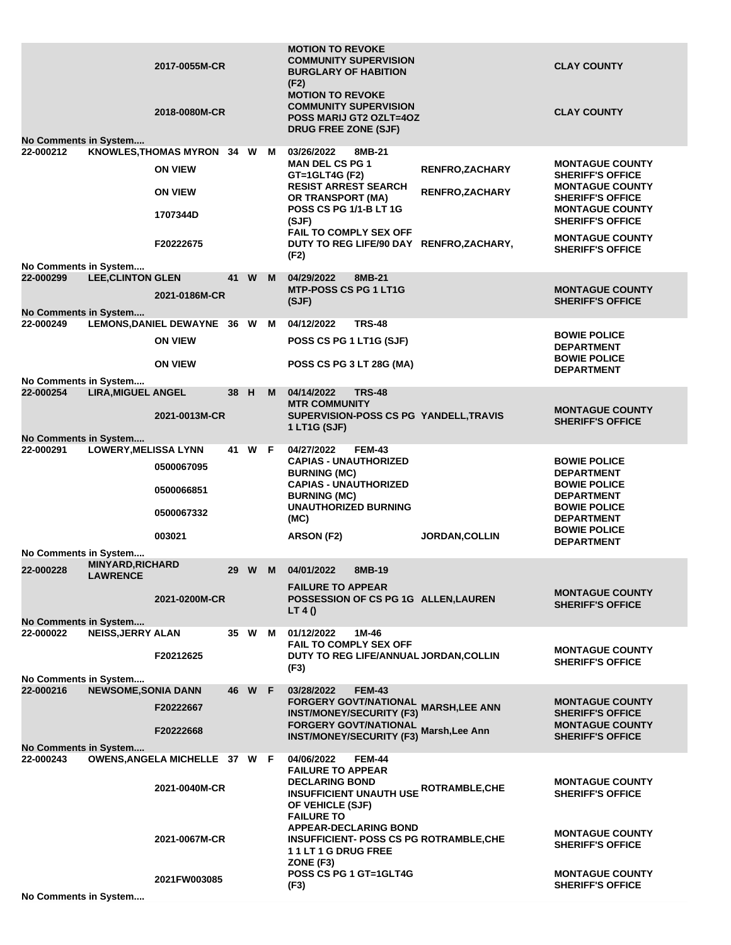|                                    |                             | 2017-0055M-CR<br>2018-0080M-CR                                 |      |          |   | <b>MOTION TO REVOKE</b><br><b>COMMUNITY SUPERVISION</b><br><b>BURGLARY OF HABITION</b><br>(F2)<br><b>MOTION TO REVOKE</b><br><b>COMMUNITY SUPERVISION</b><br><b>POSS MARIJ GT2 OZLT=40Z</b><br>DRUG FREE ZONE (SJF) |                                                  | <b>CLAY COUNTY</b><br><b>CLAY COUNTY</b>                                     |  |  |
|------------------------------------|-----------------------------|----------------------------------------------------------------|------|----------|---|---------------------------------------------------------------------------------------------------------------------------------------------------------------------------------------------------------------------|--------------------------------------------------|------------------------------------------------------------------------------|--|--|
| No Comments in System              |                             |                                                                |      |          |   |                                                                                                                                                                                                                     |                                                  |                                                                              |  |  |
| 22-000212                          |                             | KNOWLES, THOMAS MYRON 34 W<br><b>ON VIEW</b><br><b>ON VIEW</b> |      |          | м | 03/26/2022<br>8MB-21<br><b>MAN DEL CS PG 1</b><br>GT=1GLT4G (F2)<br><b>RESIST ARREST SEARCH</b>                                                                                                                     | <b>RENFRO, ZACHARY</b><br><b>RENFRO, ZACHARY</b> | <b>MONTAGUE COUNTY</b><br><b>SHERIFF'S OFFICE</b><br><b>MONTAGUE COUNTY</b>  |  |  |
|                                    |                             | 1707344D                                                       |      |          |   | OR TRANSPORT (MA)<br>POSS CS PG 1/1-B LT 1G<br>(SJF)                                                                                                                                                                |                                                  | <b>SHERIFF'S OFFICE</b><br><b>MONTAGUE COUNTY</b><br><b>SHERIFF'S OFFICE</b> |  |  |
|                                    |                             | F20222675                                                      |      |          |   | FAIL TO COMPLY SEX OFF<br>DUTY TO REG LIFE/90 DAY RENFRO, ZACHARY,<br>(F2)                                                                                                                                          |                                                  | <b>MONTAGUE COUNTY</b><br><b>SHERIFF'S OFFICE</b>                            |  |  |
| No Comments in System              |                             |                                                                |      |          |   |                                                                                                                                                                                                                     |                                                  |                                                                              |  |  |
| 22-000299                          | <b>LEE, CLINTON GLEN</b>    |                                                                | 41   | W        | M | 04/29/2022<br>8MB-21                                                                                                                                                                                                |                                                  |                                                                              |  |  |
| No Comments in System              |                             | 2021-0186M-CR                                                  |      |          |   | <b>MTP-POSS CS PG 1 LT1G</b><br>(SJF)                                                                                                                                                                               |                                                  | <b>MONTAGUE COUNTY</b><br><b>SHERIFF'S OFFICE</b>                            |  |  |
| 22-000249                          |                             | LEMONS, DANIEL DEWAYNE 36 W M                                  |      |          |   | <b>TRS-48</b><br>04/12/2022                                                                                                                                                                                         |                                                  |                                                                              |  |  |
|                                    |                             | <b>ON VIEW</b>                                                 |      |          |   | POSS CS PG 1 LT1G (SJF)                                                                                                                                                                                             |                                                  | <b>BOWIE POLICE</b><br><b>DEPARTMENT</b><br><b>BOWIE POLICE</b>              |  |  |
|                                    |                             | <b>ON VIEW</b>                                                 |      |          |   | <b>POSS CS PG 3 LT 28G (MA)</b>                                                                                                                                                                                     |                                                  | <b>DEPARTMENT</b>                                                            |  |  |
| No Comments in System              |                             |                                                                |      |          |   |                                                                                                                                                                                                                     |                                                  |                                                                              |  |  |
| 22-000254                          | <b>LIRA, MIGUEL ANGEL</b>   |                                                                | 38 H |          | M | 04/14/2022<br><b>TRS-48</b>                                                                                                                                                                                         |                                                  |                                                                              |  |  |
|                                    |                             | 2021-0013M-CR                                                  |      |          |   | <b>MTR COMMUNITY</b><br>SUPERVISION-POSS CS PG YANDELL, TRAVIS<br>1 LT1G (SJF)                                                                                                                                      |                                                  | <b>MONTAGUE COUNTY</b><br><b>SHERIFF'S OFFICE</b>                            |  |  |
| No Comments in System<br>22-000291 | <b>LOWERY, MELISSA LYNN</b> |                                                                | 41   | W F      |   | <b>FEM-43</b><br>04/27/2022                                                                                                                                                                                         |                                                  |                                                                              |  |  |
|                                    |                             | 0500067095                                                     |      |          |   | <b>CAPIAS - UNAUTHORIZED</b><br><b>BURNING (MC)</b>                                                                                                                                                                 |                                                  | <b>BOWIE POLICE</b><br><b>DEPARTMENT</b>                                     |  |  |
|                                    |                             | 0500066851                                                     |      |          |   | <b>CAPIAS - UNAUTHORIZED</b><br><b>BURNING (MC)</b><br><b>UNAUTHORIZED BURNING</b>                                                                                                                                  |                                                  | <b>BOWIE POLICE</b><br><b>DEPARTMENT</b><br><b>BOWIE POLICE</b>              |  |  |
|                                    |                             | 0500067332<br>003021                                           |      |          |   | (MC)<br>ARSON (F2)                                                                                                                                                                                                  | <b>JORDAN, COLLIN</b>                            | <b>DEPARTMENT</b><br><b>BOWIE POLICE</b>                                     |  |  |
|                                    |                             |                                                                |      |          |   |                                                                                                                                                                                                                     |                                                  | <b>DEPARTMENT</b>                                                            |  |  |
| No Comments in System              | <b>MINYARD, RICHARD</b>     |                                                                |      |          |   |                                                                                                                                                                                                                     |                                                  |                                                                              |  |  |
| 22-000228                          | <b>LAWRENCE</b>             |                                                                | 29   | <b>W</b> | M | 04/01/2022<br>8MB-19<br><b>FAILURE TO APPEAR</b>                                                                                                                                                                    |                                                  | <b>MONTAGUE COUNTY</b>                                                       |  |  |
| No Comments in System              |                             | 2021-0200M-CR                                                  |      |          |   | POSSESSION OF CS PG 1G ALLEN, LAUREN<br>LT 4 $()$                                                                                                                                                                   |                                                  | <b>SHERIFF'S OFFICE</b>                                                      |  |  |
| 22-000022                          | <b>NEISS, JERRY ALAN</b>    |                                                                |      | 35 W M   |   | 01/12/2022<br>1M-46<br><b>FAIL TO COMPLY SEX OFF</b>                                                                                                                                                                |                                                  | <b>MONTAGUE COUNTY</b>                                                       |  |  |
|                                    |                             | F20212625                                                      |      |          |   | DUTY TO REG LIFE/ANNUAL JORDAN, COLLIN<br>(F3)                                                                                                                                                                      |                                                  | <b>SHERIFF'S OFFICE</b>                                                      |  |  |
| No Comments in System              |                             |                                                                |      |          |   |                                                                                                                                                                                                                     |                                                  |                                                                              |  |  |
| 22-000216                          | <b>NEWSOME, SONIA DANN</b>  |                                                                |      | 46 W F   |   | 03/28/2022<br><b>FEM-43</b>                                                                                                                                                                                         |                                                  | <b>MONTAGUE COUNTY</b>                                                       |  |  |
|                                    |                             | F20222667                                                      |      |          |   | FORGERY GOVT/NATIONAL MARSH, LEE ANN INST/MONEY/SECURITY (F3)                                                                                                                                                       |                                                  | <b>SHERIFF'S OFFICE</b>                                                      |  |  |
|                                    |                             | F20222668                                                      |      |          |   | <b>FORGERY GOVT/NATIONAL</b><br><b>INST/MONEY/SECURITY (F3)</b>                                                                                                                                                     | Marsh, Lee Ann                                   | <b>MONTAGUE COUNTY</b><br><b>SHERIFF'S OFFICE</b>                            |  |  |
| No Comments in System              |                             |                                                                |      |          |   |                                                                                                                                                                                                                     |                                                  |                                                                              |  |  |
| 22-000243                          |                             | OWENS, ANGELA MICHELLE 37 W F                                  |      |          |   | 04/06/2022<br><b>FEM-44</b><br><b>FAILURE TO APPEAR</b><br><b>DECLARING BOND</b>                                                                                                                                    |                                                  | <b>MONTAGUE COUNTY</b>                                                       |  |  |
|                                    |                             | 2021-0040M-CR                                                  |      |          |   | <b>INSUFFICIENT UNAUTH USE ROTRAMBLE, CHE</b><br>OF VEHICLE (SJF)<br><b>FAILURE TO</b>                                                                                                                              |                                                  | <b>SHERIFF'S OFFICE</b>                                                      |  |  |
|                                    |                             | 2021-0067M-CR                                                  |      |          |   | <b>APPEAR-DECLARING BOND</b><br><b>INSUFFICIENT- POSS CS PG ROTRAMBLE, CHE</b><br><b>11LT1GDRUGFREE</b><br>ZONE (F3)                                                                                                |                                                  | <b>MONTAGUE COUNTY</b><br><b>SHERIFF'S OFFICE</b>                            |  |  |
|                                    |                             | 2021FW003085                                                   |      |          |   | POSS CS PG 1 GT=1GLT4G<br>(F3)                                                                                                                                                                                      |                                                  | <b>MONTAGUE COUNTY</b><br><b>SHERIFF'S OFFICE</b>                            |  |  |
| No Comments in System              |                             |                                                                |      |          |   |                                                                                                                                                                                                                     |                                                  |                                                                              |  |  |